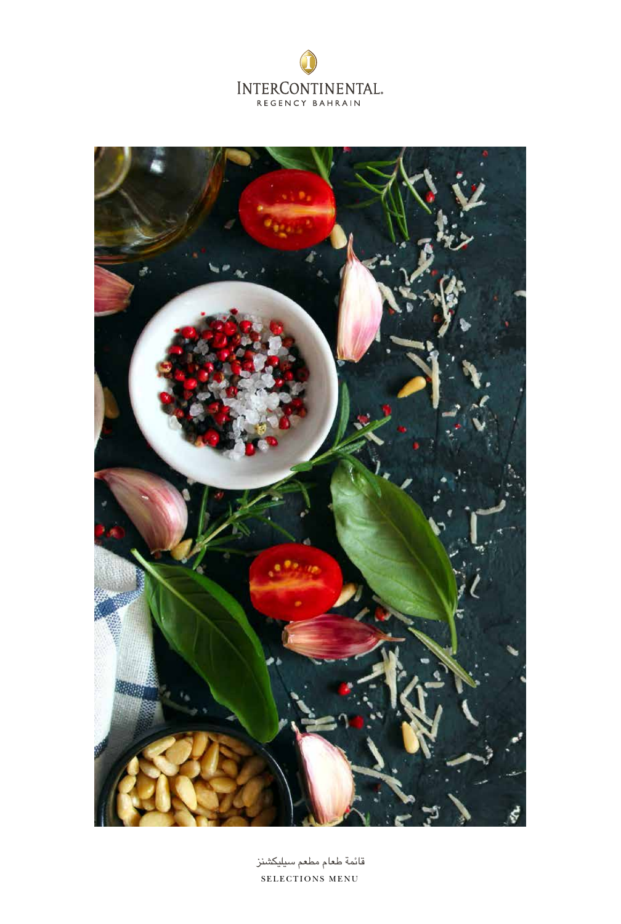



SELECTIONS MENU قائمة طعام مطعم سيليكشنز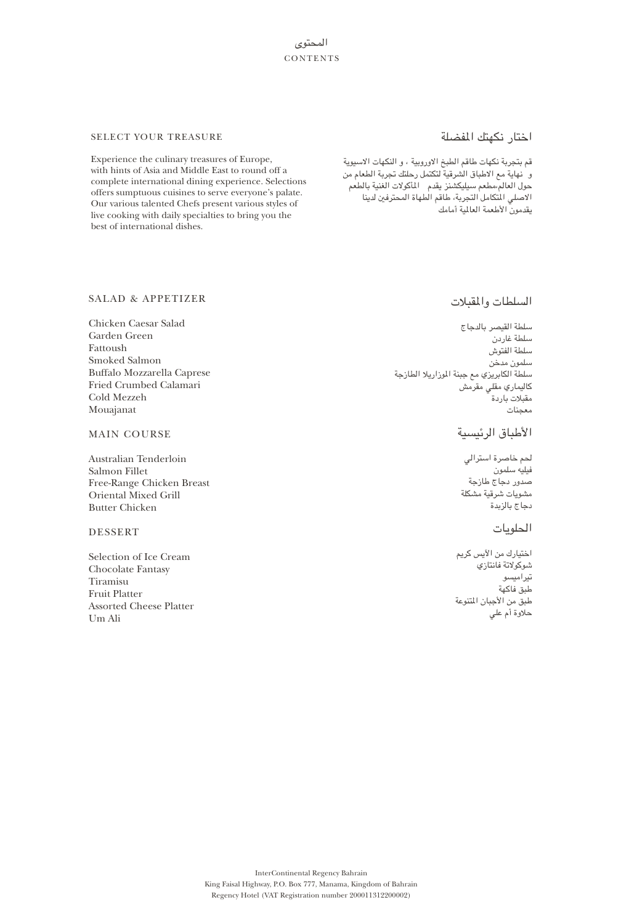# المحتوى **CONTENTS**

# اختار نكهتك المفضلة

قم بتجربة نكهات طاقم الطبخ الاوروبية ، و النكهات الاسيوية و نهاية مع الاطباق الشرقية لتكتمل رحلتك تجربة الطعام من حول العالم،مطعم سيليكشنز يقدم المأكولات الغنية بالطعم الاصلي المتكامل التجربة، طاقم الطهاة المحترفين لدينا يقدمون الأطعمة العالمية أمامك

## SELECT YOUR TREASURE

Experience the culinary treasures of Europe, with hints of Asia and Middle East to round off a complete international dining experience. Selections offers sumptuous cuisines to serve everyone's palate. Our various talented Chefs present various styles of live cooking with daily specialties to bring you the best of international dishes.

## SALAD & APPETIZER

Chicken Caesar Salad Garden Green Fattoush Smoked Salmon Buffalo Mozzarella Caprese Fried Crumbed Calamari Cold Mezzeh Mouajanat

## MAIN COURSE

Australian Tenderloin Salmon Fillet Free-Range Chicken Breast Oriental Mixed Grill Butter Chicken

## DESSERT

Selection of Ice Cream Chocolate Fantasy Tiramisu Fruit Platter Assorted Cheese Platter Um Ali

# السلطات والمقبلات

سلطة القيصر بالدجاج سلطة غاردن سلطة الفتوش سلمون مدخن سلطة الكابريزي مع جبنة الموزاريلا الطازجة كاليماري مقلي مقرمش مقبلات باردة معجنات

# الأطباق الرئيسية

لحم خاصرة استرالي فيليه سلمون صدور دجاج طازجة مشويات شرقية مشكلة دجاج بالزبدة

# الحلويات

اختيارك من الآيس كريم شوكولاتة فانتازي تيراميسو طبق فاكهة طبق من الأجبان المتنوعة حلاوة أم علي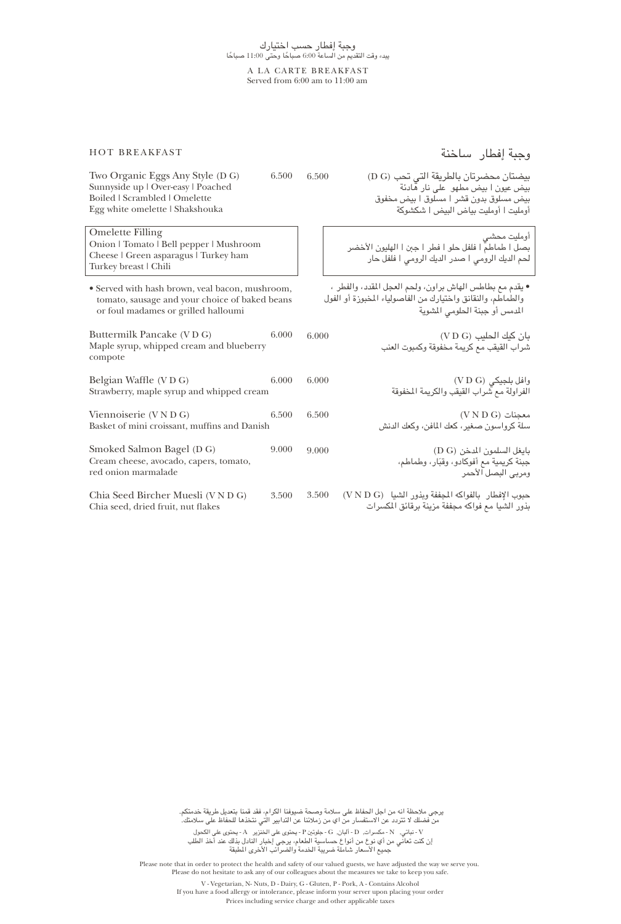#### A LA CARTE BREAKFAST Served from 6:00 am to 11:00 am

HOT BREAKFAST

وجبة إفطار ساخنة

| Two Organic Eggs Any Style (D G)<br>Sunnyside up   Over-easy   Poached<br>Boiled   Scrambled   Omelette<br>Egg white omelette   Shakshouka | 6.500 | 6.500 | بيضتان محضرتان بالطريقة التي تحب (D G)<br>بيض عيون ا بيض مطهو  على نار هادئة<br>بيض مسلوق بدون قشر ا مسلوق ا بيض مخفوق<br>أومليت ا أومليت بياض البيض ا شكشوكة |
|--------------------------------------------------------------------------------------------------------------------------------------------|-------|-------|---------------------------------------------------------------------------------------------------------------------------------------------------------------|
| <b>Omelette Filling</b><br>Onion   Tomato   Bell pepper   Mushroom<br>Cheese   Green asparagus   Turkey ham<br>Turkey breast   Chili       |       |       | أومليت محشى<br>بصل ا طماطمَّ ا فلفل حلو ا فطر ا جبن ا الهليون الأخضر<br>لحم الديك الرومى ا صدر الديك الرومى ا فلفل حار                                        |
| • Served with hash brown, veal bacon, mushroom,<br>tomato, sausage and your choice of baked beans<br>or foul madames or grilled halloumi   |       |       | • يقدم مع بطاطس الهاش براون، ولحم العجل المقدد، والفطر ،<br>والطماطم، والنقانق واختيارك من الفاصولياء المخبوزة أو الفول<br>المدمس أو جبنة الحلومي المشوية     |
| Buttermilk Pancake (VDG)<br>Maple syrup, whipped cream and blueberry<br>compote                                                            | 6.000 | 6.000 | بان كيك الحليب (V D G)<br>شراب القيقب مع كريمة مخفوقة وكمبوت العنب                                                                                            |
| Belgian Waffle (VDG)<br>Strawberry, maple syrup and whipped cream                                                                          | 6.000 | 6.000 | وافل بلجيكي (V D G)<br>الفراولة مع شراب القيقب والكريمة المخفوقة                                                                                              |
| Viennoiserie (V N D G)<br>Basket of mini croissant, muffins and Danish                                                                     | 6.500 | 6.500 | $(VN D G)$ معجنات<br>سلة كرواسون صغير، كعك المافن، وكعك الدنش                                                                                                 |
| Smoked Salmon Bagel (D G)<br>Cream cheese, avocado, capers, tomato,<br>red onion marmalade                                                 | 9.000 | 9.000 | بايغل السلمون المدخن (D G)<br>جبنة كريمية مع أفوكادو، وقبّار، وطماطم،<br>ومربى البصل الأحمر                                                                   |
| Chia Seed Bircher Muesli (V N D G)<br>Chia seed, dried fruit, nut flakes                                                                   | 3.500 | 3.500 | حبوب الإفطار بالفواكه المجففة ويذور الشيا (V N D G)<br>بذور الشيا مع فواكه مجففة مزينة برقائق المكسرات                                                        |

 V - نباتي, N - مكسرات, D - ألبان, G - جلوتين P - يحتوى على الخنزير A - يحتوى على الكحول إن كنت تعاني من أي نوع من أنواع حساسية الطعام، يرجى إخبار النادل بذلك عند أخذ الطلب جميع الأسعار شاملة ضريبة الخدمة والضرائب الأخرى المطبقة يرجى ملاحظة انه من اجل الحفاظ على سلامة وصحة ضيوفنا الكرام، فقد قمنا بتعديل طريقة خدمتكم. من فضلك لا تتردد عن الاستفسار من اي من زملائنا عن التدابير التي نتخذها للحفاظ على سلامتك.

Please note that in order to protect the health and safety of our valued guests, we have adjusted the way we serve you. Please do not hesitate to ask any of our colleagues about the measures we take to keep you safe.

> V - Vegetarian, N- Nuts, D - Dairy, G - Gluten, P - Pork, A - Contains Alcohol If you have a food allergy or intolerance, please inform your server upon placing your order Prices including service charge and other applicable taxes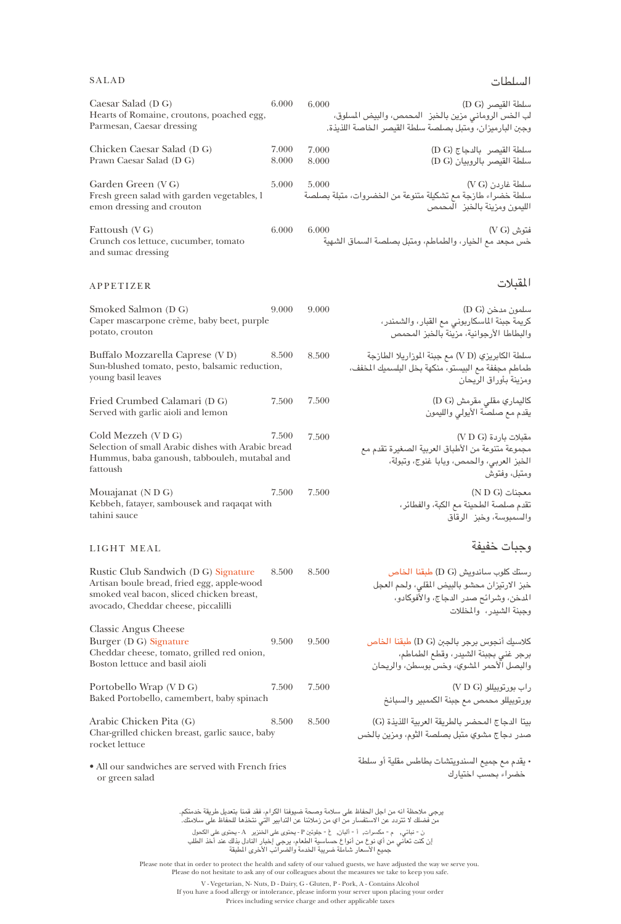## SALAD

# السلطات

| Caesar Salad (D G)<br>6.000<br>Hearts of Romaine, croutons, poached egg,<br>Parmesan, Caesar dressing                                                                           | 6.000<br>لب الخس الروماني مزين بالخبز   المحمص، والبيض المسلوق،<br>يجبن البارميزان، ومتبل بصلصة سلطة القيصر الخاصة اللذيذة. | سلطة القيصر (D G)                                                                                            |
|---------------------------------------------------------------------------------------------------------------------------------------------------------------------------------|-----------------------------------------------------------------------------------------------------------------------------|--------------------------------------------------------------------------------------------------------------|
| Chicken Caesar Salad (D G)<br>7.000<br>8.000<br>Prawn Caesar Salad (D G)                                                                                                        | 7.000<br>8.000                                                                                                              | سلطة القيصر بالدجاج (D G)<br>سلطة القيصر بالروبيان (D G)                                                     |
| Garden Green (VG)<br>5.000<br>Fresh green salad with garden vegetables, l<br>emon dressing and crouton                                                                          | 5.000<br>سلطة خضراء طازجة مع تشكيلة متنوعة من الخضروات، متبلة بصلصة                                                         | سلطة غاردن (V G)<br>لليمون ومزينة بالخبز المحمص                                                              |
| 6.000<br>Fattoush (VG)<br>Crunch cos lettuce, cucumber, tomato<br>and sumac dressing                                                                                            | 6.000<br>خس مجعد مع الخيار، والطماطم، ومتبل بصلصة السماق الشهية                                                             | نتوش (V G)                                                                                                   |
| APPETIZER                                                                                                                                                                       |                                                                                                                             | المقبلات                                                                                                     |
| Smoked Salmon (D G)<br>9.000<br>Caper mascarpone crème, baby beet, purple<br>potato, crouton                                                                                    | 9.000                                                                                                                       | سلمون مدخن (D G)<br>كريمة جبنة الماسكاربوني مع القبار، والشمندر،<br>والبطاطا الأرجوانية، مزينة بالخبز المحمص |
| Buffalo Mozzarella Caprese (VD)<br>8.500<br>Sun-blushed tomato, pesto, balsamic reduction,<br>young basil leaves                                                                | سلطة الكابريزي (V D) مع جبنة الموزاريلا الطازجة<br>8.500<br>طماطم مجففة مع البيستو، منكهة بخل البلسميك المخفف،              | بمزينة بأوراق الريحان                                                                                        |
| Fried Crumbed Calamari (D G)<br>7.500<br>Served with garlic aioli and lemon                                                                                                     | 7.500                                                                                                                       | كاليماري مقلي مقرمش (D G)<br>بقدم مع صلصة الأيولي والليمون                                                   |
| Cold Mezzeh (VDG)<br>7.500<br>Selection of small Arabic dishes with Arabic bread<br>Hummus, baba ganoush, tabbouleh, mutabal and<br>fattoush                                    | 7.500<br>مجموعة متنوعة من الأطباق العربية الصغيرة تقدم مع                                                                   | مقبلات باردة (V D G)<br>لخبز العربي، والحمص، وبابا غنوج، وتبولة،<br><sub>ي</sub> متبل، وفتوش                 |
| Mouajanat (N D G)<br>7.500<br>Kebbeh, fatayer, sambousek and raqaqat with<br>tahini sauce                                                                                       | 7.500                                                                                                                       | $($ N D G $)$ معجنات<br>نقدم صلصة الطحينة مع الكبة، والفطائر،<br>رالسمبوسة، وخبز الرقاق                      |
| LIGHT MEAL                                                                                                                                                                      |                                                                                                                             | وجبات خفيفة                                                                                                  |
| Rustic Club Sandwich (D G) Signature<br>8.500<br>Artisan boule bread, fried egg, apple-wood<br>smoked veal bacon, sliced chicken breast,<br>avocado, Cheddar cheese, piccalilli | 8.500<br>خبز الارتيزان محشو بالبيض المقلي، ولحم العجل                                                                       | رستك كلوب ساندويش (D G) طبقنا الخاص<br>لمدخن، وشرائح صدر الدجاج، والأفوكادو،<br>يجبنة الشيدر، والمظلات       |
| <b>Classic Angus Cheese</b><br>Burger (D G) Signature<br>9.500<br>Cheddar cheese, tomato, grilled red onion,<br>Boston lettuce and basil aioli                                  | كلاسيك أنجوس برجر بالجبن (D G) طبقنا الخاص<br>9.500<br>والبصل الأحمر المشوي، وخس بوسطن، والريحان                            | برجر غنى بجبنة الشيدر، وقطع الطماطم،                                                                         |
| Portobello Wrap (VDG)<br>7.500<br>Baked Portobello, camembert, baby spinach                                                                                                     | 7.500                                                                                                                       | راب بورتوبيللو (V D G)<br>ورتوبيللو محمص مع جبنة الكممبير والسبانخ                                           |
| Arabic Chicken Pita (G)<br>8.500<br>Char-grilled chicken breast, garlic sauce, baby<br>rocket lettuce                                                                           | بيتا الدجاج المحضر بالطريقة العربية اللذيذة (G)<br>8.500<br>صدر دجاج مشوي متبل بصلصة الثوم، ومزين بالخس                     |                                                                                                              |
| • All our sandwiches are served with French fries<br>or green salad                                                                                                             | ، يقدم مع جميع السندويتشات بطاطس مقلية أو سلطة                                                                              | خضراء بحسب اختيارك                                                                                           |
|                                                                                                                                                                                 |                                                                                                                             |                                                                                                              |

 ن - نباتي, م - مكسرات, أ - ألبان, غ - جلوتين P - يحتوى على الخنزير A - يحتوى على الكحول إن كنت تعاني من أي نوع من أنواع حساسية الطعام، يرجى إخبار النادل بذلك عند أخذ الطلب جميع الأسعار شاملة ضريبة الخدمة والضرائب الأخرى المطبقة يرجى ملاحظة انه من اجل الحفاظ على سلامة وصحة ضيوفنا الكرام، فقد قمنا بتعديل طريقة خدمتكم. من فضلك لا تتردد عن الاستفسار من اي من زملائنا عن التدابير التي نتخذها للحفاظ على سلامتك.

Please note that in order to protect the health and safety of our valued guests, we have adjusted the way we serve you.

Please do not hesitate to ask any of our colleagues about the measures we take to keep you safe.

V - Vegetarian, N- Nuts, D - Dairy, G - Gluten, P - Pork, A - Contains Alcohol If you have a food allergy or intolerance, please inform your server upon placing your order Prices including service charge and other applicable taxes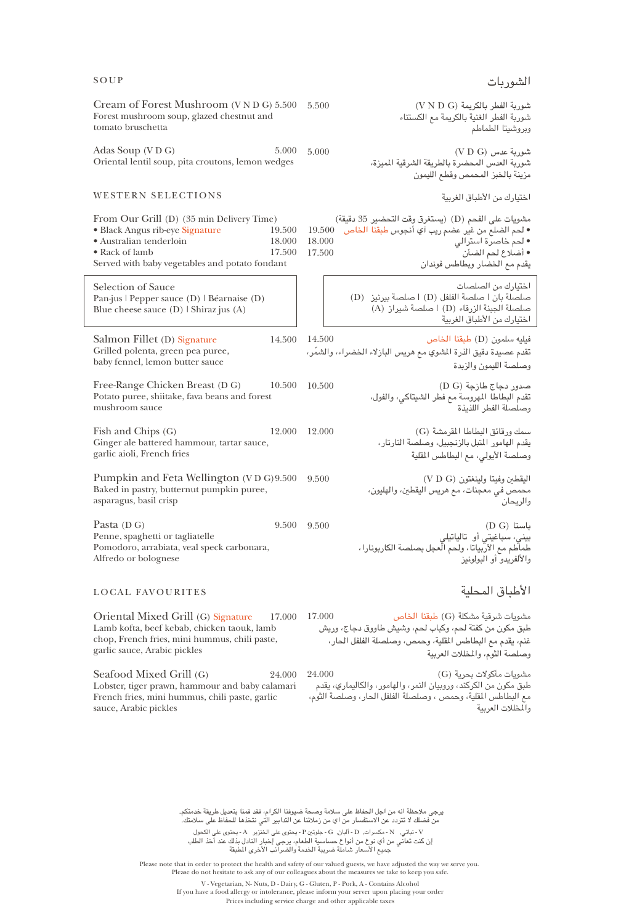|       | الشوربات                                |
|-------|-----------------------------------------|
| 5.500 | شوربة الفطر بالكريمة (V N D G)          |
|       | شوربة الفطر الغنية بالكريمة مع الكستناء |

5.000 (V D G) عدس شوربة شوربة العدس المحضرة بالطريقة الشرقية المميزة، مزينة بالخبز المحمص وقطع الليمون

اختيارك من الأطباق الغربية

وبروشيتا الطماطم

مشويات على الفحم (D) (يستغرق وقت التحضير 35 دقيقة) • لحم الضلع من غير عضم ريب آي أنجوس طبقنا الخاص 19.500 • لحم خاصرة استرالي 18.000 • أضلاع لحم الضأن 17.500 يقدم مع الخضار وبطاطس فوندان

> اختيارك من الصلصات صلصلة بان | صلصة الفلفل (D | (صلصة بيرنيز (D( صلصلة الجبنة الزرقاء (D | (صلصة شيراز (A( اختيارك من الأطباق الغربية

فيليه سلمون (D (طبقنا الخاص 14.500 ّ تقدم عصيدة دقيق الذرة المشوي مع هريس البازلاء الخضراء، والشمر، وصلصة الليمون والزبدة

صدور دجاج طازجة (G D (10.500 تقدم البطاطا المهروسة مع فطر الشيتاكي، والفول، وصلصلة الفطر اللذيذة

سمك ورقائق البطاطا المقرمشة (G (12.000 يقدم الهامور المتبل بالزنجبيل، وصلصة التارتار، وصلصة الأيولي، مع البطاطس المقلية

اليقطين وفيتا ولينغتون (G D V (9.500 محمص في معجنات، مع هريس اليقطين، والهليون، والريحان

9.500 (D G) باستا بيني، سباغيتي أو تالياتيلي طماطم مع الآربياتا، ولحم العجل بصلصة الكاربونارا، والألفريدو أو البولونيز

#### LOCAL FAVOURITES

Oriental Mixed Grill (G) Signature Lamb kofta, beef kebab, chicken taouk, lamb chop, French fries, mini hummus, chili paste, garlic sauce, Arabic pickles

Seafood Mixed Grill (G) 24.000 Lobster, tiger prawn, hammour and baby calamari French fries, mini hummus, chili paste, garlic sauce, Arabic pickles

الأطباق المحلية

مشويات شرقية مشكلة (G (طبقنا الخاص 17.000 طبق مكون من كفتة لحم، وكباب لحم، وشيش طاووق دجاج، وريش غنم، يقدم مع البطاطس المقلية، وحمص، وصلصلة الفلفل الحار، وصلصة الثوم، والمخللات العربية

> مشويات مأكولات بحرية (G (24.000 طبق مكون من الكركند، وروبيان النمر، والهامور، والكاليماري، يقدم مع البطاطس المقلية، وحمص ، وصلصلة الفلفل الحار، وصلصة الثوم، والمخللات العربية

 V - نباتي, N - مكسرات, D - ألبان, G - جلوتين P - يحتوى على الخنزير A - يحتوى على الكحول إن كنت تعاني من أي نوع من أنواع حساسية الطعام، يرجى إخبار النادل بذلك عند أخذ الطلب جميع الأسعار شاملة ضريبة الخدمة والضرائب الأخرى المطبقة يرجى ملاحظة انه من اجل الحفاظ على سلامة وصحة ضيوفنا الكرام، فقد قمنا بتعديل طريقة خدمتكم. من فضلك لا تتردد عن الاستفسار من اي من زملائنا عن التدابير التي نتخذها للحفاظ على سلامتك.

Please note that in order to protect the health and safety of our valued guests, we have adjusted the way we serve you.

If you have a food allergy or intolerance, please inform your server upon placing your order

### SOUP

Cream of Forest Mushroom (V N D G) 5.500 Forest mushroom soup, glazed chestnut and tomato bruschetta

Adas Soup (V D G)  $5.000$ Oriental lentil soup, pita croutons, lemon wedges

#### WESTERN SELECTIONS

• Black Angus rib-eye Signature 19.500<br>• Australian tenderloin 18.000 • Australian tenderloin 18.000 • Rack of lamb 17.500 Served with baby vegetables and potato fondant Selection of Sauce Pan-jus | Pepper sauce (D) | Béarnaise (D) Blue cheese sauce (D) | Shiraz jus (A)

From Our Grill (D) (35 min Delivery Time)

Salmon Fillet (D) Signature 14.500 Grilled polenta, green pea puree, baby fennel, lemon butter sauce

Free-Range Chicken Breast (D G) 10.500 Potato puree, shiitake, fava beans and forest mushroom sauce

Fish and Chips (G) 12.000 Ginger ale battered hammour, tartar sauce, garlic aioli, French fries

Pumpkin and Feta Wellington (V D G) 9.500 Baked in pastry, butternut pumpkin puree, asparagus, basil crisp

Pasta (D G) 9.500 9.500 Penne, spaghetti or tagliatelle Pomodoro, arrabiata, veal speck carbonara, Alfredo or bolognese

> V - Vegetarian, N- Nuts, D - Dairy, G - Gluten, P - Pork, A - Contains Alcohol Prices including service charge and other applicable taxes Please do not hesitate to ask any of our colleagues about the measures we take to keep you safe.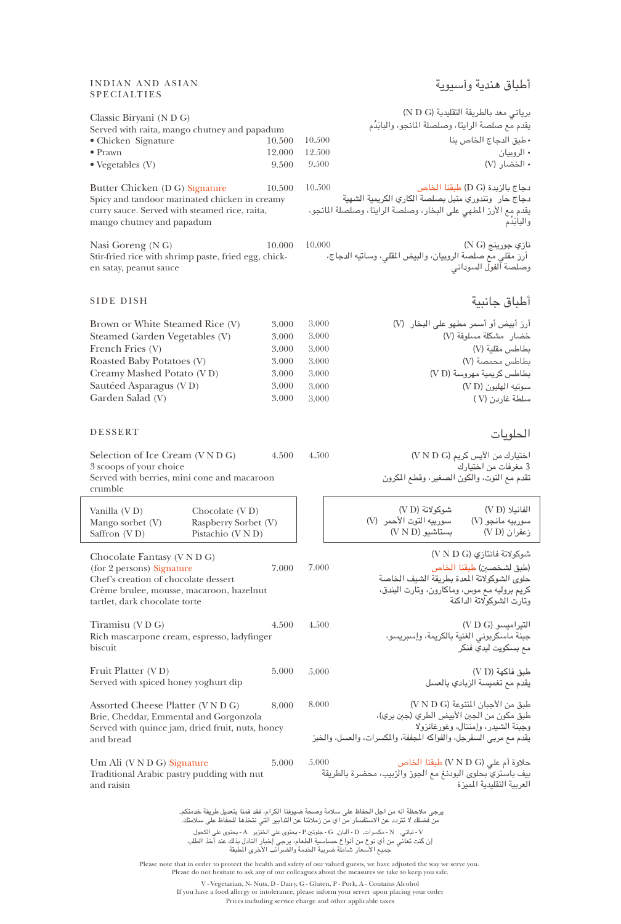## INDIAN AND ASIAN SPECIALTIES

# أطباق هندية وآسيوية

| Classic Biryani (N D G)<br>Served with raita, mango chutney and papadum<br>• Chicken Signature<br>$\bullet$ Prawn<br>$\bullet$ Vegetables (V)                                                                                                                                                                                                                                                                                                                                                                                                                                                                                                                         | 10.500<br>12.000<br>9.500                                   | 10.500<br>12.500<br>9.500                                   | برياني معد بالطريقة التقليدية (N D G)<br>يقدم مع صلصة الرايتا، وصلصلة المانجو، والبابَدُم<br>• طبق الدجاج الخاص بنا<br>• الروبيان<br>• الخضار (V)                                         |
|-----------------------------------------------------------------------------------------------------------------------------------------------------------------------------------------------------------------------------------------------------------------------------------------------------------------------------------------------------------------------------------------------------------------------------------------------------------------------------------------------------------------------------------------------------------------------------------------------------------------------------------------------------------------------|-------------------------------------------------------------|-------------------------------------------------------------|-------------------------------------------------------------------------------------------------------------------------------------------------------------------------------------------|
| Butter Chicken (D G) Signature<br>Spicy and tandoor marinated chicken in creamy<br>curry sauce. Served with steamed rice, raita,<br>mango chutney and papadum                                                                                                                                                                                                                                                                                                                                                                                                                                                                                                         | 10.500                                                      | 10.500                                                      | دجاج بالزبدة (D G) طبقنا الخاص<br>دجاج حار وتندوري متبل بصلصة الكاري الكريمية الشهية<br>يقدم مع الأرز المطهي على البخار، وصلصة الرايتا، وصلصلة المانجو،<br>والبابذم                       |
| Nasi Goreng (N G)<br>Stir-fried rice with shrimp paste, fried egg, chick-<br>en satay, peanut sauce                                                                                                                                                                                                                                                                                                                                                                                                                                                                                                                                                                   | 10.000                                                      | 10.000                                                      | نازي جورينج (N G)<br>أرز مقلي مع صلصة الروبيان، والبيض المقلي، وساتيه الدجاج،<br>وصلصة آلفول السودانى                                                                                     |
| <b>SIDE DISH</b>                                                                                                                                                                                                                                                                                                                                                                                                                                                                                                                                                                                                                                                      |                                                             |                                                             | أطباق جانبية                                                                                                                                                                              |
| Brown or White Steamed Rice (V)<br>Steamed Garden Vegetables (V)<br>French Fries (V)<br>Roasted Baby Potatoes (V)<br>Creamy Mashed Potato (VD)<br>Sautéed Asparagus (VD)<br>Garden Salad (V)                                                                                                                                                                                                                                                                                                                                                                                                                                                                          | 3.000<br>3.000<br>3.000<br>3.000<br>3.000<br>3.000<br>3.000 | 3.000<br>3.000<br>3.000<br>3.000<br>3.000<br>3.000<br>3.000 | أرز أبيض أو أسمر مطهو على البخار (V)<br>خضار مشكلة مسلوقة (V)<br>بطاطس مقلية (V)<br>بطاطس محمصة (V)<br>بطاطس كريمية مهروسة (V D)<br>سوتيه الهليون (VD)<br>سلطة غاردن (V)                  |
| <b>DESSERT</b>                                                                                                                                                                                                                                                                                                                                                                                                                                                                                                                                                                                                                                                        |                                                             |                                                             | الحلويات                                                                                                                                                                                  |
| Selection of Ice Cream (V N D G)<br>3 scoops of your choice<br>Served with berries, mini cone and macaroon<br>crumble                                                                                                                                                                                                                                                                                                                                                                                                                                                                                                                                                 | 4.500                                                       | 4.500                                                       | اختيارك من الآيس كريم (V N D G)<br>3 مغرفات من اختيارك<br>تقدم مع التوت، والكون الصغير، وقطع المكرون                                                                                      |
| Vanilla (VD)<br>Chocolate $(VD)$<br>Raspberry Sorbet (V)<br>Mango sorbet (V)<br>Saffron (VD)<br>Pistachio (V N D)                                                                                                                                                                                                                                                                                                                                                                                                                                                                                                                                                     |                                                             |                                                             | شوكولاتة (V D)<br>الفانيلا (V D)<br>سوربيه التوت الأحمر (V)<br>سوربيه مانجو (V)<br>$(VN D)$ بستاشىو<br>زعفران (V D)                                                                       |
| Chocolate Fantasy (V N D G)<br>(for 2 persons) Signature<br>Chef's creation of chocolate dessert<br>Crème brulee, mousse, macaroon, hazelnut<br>tartlet, dark chocolate torte                                                                                                                                                                                                                                                                                                                                                                                                                                                                                         | 7.000                                                       | 7.000                                                       | شوكولاتة فانتازي (V N D G)<br>(طبق لشخصين) طبقنا الخاص<br>حلوى الشوكولاتة المعدة بطريقة الشيف الخاصة<br>كريم بروليه مع موس، وماكارون، وتارت البندق،<br>وتارت الشوكولاتة الداكنة           |
| Tiramisu (VDG)<br>Rich mascarpone cream, espresso, ladyfinger<br>biscuit                                                                                                                                                                                                                                                                                                                                                                                                                                                                                                                                                                                              | 4.500                                                       | 4.500                                                       | التير اميسو (V D G)<br>جبنة ماسكربوني الغنية بالكريمة، وإسبريسو،<br>مع بسكويت ليدي فنكر                                                                                                   |
| Fruit Platter (VD)<br>Served with spiced honey yoghurt dip                                                                                                                                                                                                                                                                                                                                                                                                                                                                                                                                                                                                            | 5.000                                                       | 5.000                                                       | طبق فاكهة (V D)<br>يقدم مع تغميسة الزبادي بالعسل                                                                                                                                          |
| Assorted Cheese Platter (V N D G)<br>Brie, Cheddar, Emmental and Gorgonzola<br>Served with quince jam, dried fruit, nuts, honey<br>and bread                                                                                                                                                                                                                                                                                                                                                                                                                                                                                                                          | 8.000                                                       | 8.000                                                       | طبق من الأجبان المتنوعة (V N D G)<br>طبق مكون من الجبن الأبيض الطري (جبن بري)،<br>وجبنة الشيدر، وإمنتال، وغورغانزولا<br>يقدم مع مربى السفرجل، والفواكه المجففة، والمكسرات، والعسل، والخبز |
| Um Ali (V N D G) Signature<br>Traditional Arabic pastry pudding with nut<br>and raisin                                                                                                                                                                                                                                                                                                                                                                                                                                                                                                                                                                                | 5.000                                                       | 5.000                                                       | حلاوة أم على (V N D G) طبقنا الخاص<br>بيف باستري بحلوى البودنغ مع الجوز والزبيب، محضرة بالطريقة<br>العربية التقليدية الميزة                                                               |
| يرجى ملاحظة انه من اجل الحفاظ على سلامة وصحة ضيوفنا الكرام، فقد قمنا بتعديل طريقة خدمتكم.<br>من فضلك لا تتردد عن الاستفسار منَّ اي من زملائنا عن التدابير الَّتي نتخذها للحفاظ على سلامتك.ٰ<br>- نباتي, N - مكسرات, D - ألبان, G - جلوتين P - يحتوى على الخنزير A - يحتوى على الكحول<br>إن كنت تعاني من أي نوع من أنواع حساسية الطعام، يرجى إخبار النادل بذلك عند أخذ الطلب<br>جميع الأسعار شاملة ضريبة الخدمة والضرائب الأخرى المطبقة<br>Please note that in order to protect the health and safety of our valued guests, we have adjusted the way we serve you.<br>Please do not hesitate to ask any of our colleagues about the measures we take to keep you safe. |                                                             |                                                             |                                                                                                                                                                                           |

V - Vegetarian, N- Nuts, D - Dairy, G - Gluten, P - Pork, A - Contains Alcohol If you have a food allergy or intolerance, please inform your server upon placing your order

Prices including service charge and other applicable taxes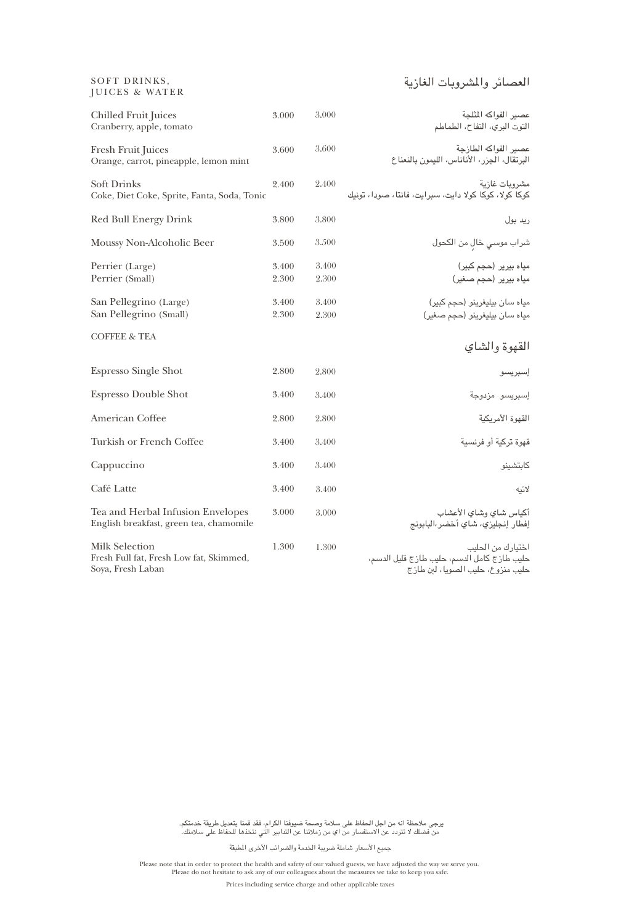# العصائر والمشروبات الغازية

| <b>Chilled Fruit Juices</b><br>Cranberry, apple, tomato                               | 3.000          | 3.000          | عصير الفواكه المثلجة<br>التوت البري، التفاح، الطماطم                                                  |
|---------------------------------------------------------------------------------------|----------------|----------------|-------------------------------------------------------------------------------------------------------|
| Fresh Fruit Juices<br>Orange, carrot, pineapple, lemon mint                           | 3.600          | 3.600          | عصير الفواكه الطازجة<br>البرتقال، الجزر، الأناناس، الليمون بالنعناع                                   |
| <b>Soft Drinks</b><br>Coke, Diet Coke, Sprite, Fanta, Soda, Tonic                     | 2.400          | 2.400          | مشروبات غازية<br>كوكا كولا، كوكا كولا دايت، سبرايت، فانتا، صودا، تونيك                                |
| <b>Red Bull Energy Drink</b>                                                          | 3.800          | 3.800          | رید بول                                                                                               |
| Moussy Non-Alcoholic Beer                                                             | 3.500          | 3.500          | شراب موسى خالٍ من الكحول                                                                              |
| Perrier (Large)<br>Perrier (Small)                                                    | 3.400<br>2.300 | 3.400<br>2.300 | میاہ بیریر (حجم کبیر)<br>میاہ بیریر (حجم صغیر)                                                        |
| San Pellegrino (Large)<br>San Pellegrino (Small)                                      | 3.400<br>2.300 | 3.400<br>2.300 | میاه سان بیلیغرینو (حجم کبیر)<br>میاه سان بیلیغرینو (حجم صغیر)                                        |
| <b>COFFEE &amp; TEA</b>                                                               |                |                | القهوة والشاي                                                                                         |
| <b>Espresso Single Shot</b>                                                           | 2.800          | 2.800          | إسبريسو                                                                                               |
| <b>Espresso Double Shot</b>                                                           | 3.400          | 3.400          | إسبريسو مزدوجة                                                                                        |
| American Coffee                                                                       | 2.800          | 2.800          | القهوة الأمريكية                                                                                      |
| Turkish or French Coffee                                                              | 3.400          | 3.400          | قهوة تركية أو فرنسية                                                                                  |
| Cappuccino                                                                            | 3.400          | 3.400          | كابتشينو                                                                                              |
| Café Latte                                                                            | 3.400          | 3.400          | لاتيه                                                                                                 |
| Tea and Herbal Infusion Envelopes<br>English breakfast, green tea, chamomile          | 3.000          | 3.000          | أكياس شاي وشاي الأعشاب<br>إفطار إنجليزي، شاي أخضر،البابونج                                            |
| <b>Milk Selection</b><br>Fresh Full fat, Fresh Low fat, Skimmed,<br>Soya, Fresh Laban | 1.300          | 1.300          | اختيارك من الحليب<br>حليب طازج كامل الدسم، حليب طازج قليل الدسم،<br>حليب منزوع، حليب الصويا، لبن طازج |

يرجى ملاحظة انه من اجل الحفاظ على سلامة وصحة ضيوفنا الكرام، فقد قمنا بتعديل طريقة خدمتكم. من فضلك لا تتردد عن الاستفسار من اي من زملائنا عن التدابير التي نتخذها للحفاظ على سلامتك.

جميع الأسعار شاملة ضريبة الخدمة والضرائب الأخرى المطبقة

Please note that in order to protect the health and safety of our valued guests, we have adjusted the way we serve you. Please do not hesitate to ask any of our colleagues about the measures we take to keep you safe.

Prices including service charge and other applicable taxes